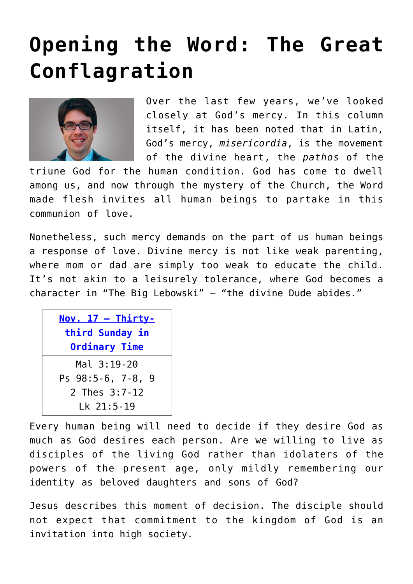## **[Opening the Word: The Great](https://www.osvnews.com/2019/11/11/opening-the-word-the-great-conflagration/) [Conflagration](https://www.osvnews.com/2019/11/11/opening-the-word-the-great-conflagration/)**



Over the last few years, we've looked closely at God's mercy. In this column itself, it has been noted that in Latin, God's mercy, *misericordia*, is the movement of the divine heart, the *pathos* of the

triune God for the human condition. God has come to dwell among us, and now through the mystery of the Church, the Word made flesh invites all human beings to partake in this communion of love.

Nonetheless, such mercy demands on the part of us human beings a response of love. Divine mercy is not like weak parenting, where mom or dad are simply too weak to educate the child. It's not akin to a leisurely tolerance, where God becomes a character in "The Big Lebowski" — "the divine Dude abides."

| Nov. $17 - Thirty$ -<br>third Sunday in<br><b>Ordinary Time</b>     |
|---------------------------------------------------------------------|
| Mal 3:19-20<br>Ps 98:5-6, 7-8,<br>-9<br>2 Thes 3:7-12<br>Lk 21:5-19 |

Every human being will need to decide if they desire God as much as God desires each person. Are we willing to live as disciples of the living God rather than idolaters of the powers of the present age, only mildly remembering our identity as beloved daughters and sons of God?

Jesus describes this moment of decision. The disciple should not expect that commitment to the kingdom of God is an invitation into high society.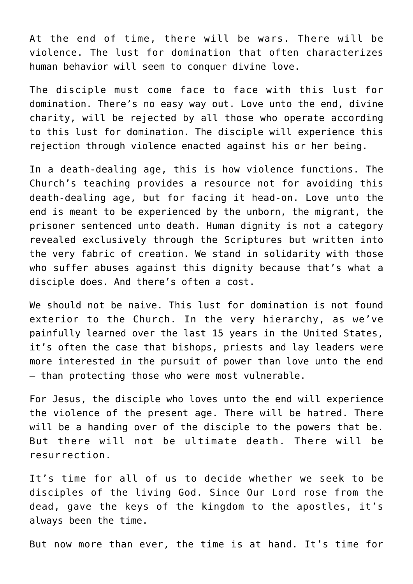At the end of time, there will be wars. There will be violence. The lust for domination that often characterizes human behavior will seem to conquer divine love.

The disciple must come face to face with this lust for domination. There's no easy way out. Love unto the end, divine charity, will be rejected by all those who operate according to this lust for domination. The disciple will experience this rejection through violence enacted against his or her being.

In a death-dealing age, this is how violence functions. The Church's teaching provides a resource not for avoiding this death-dealing age, but for facing it head-on. Love unto the end is meant to be experienced by the unborn, the migrant, the prisoner sentenced unto death. Human dignity is not a category revealed exclusively through the Scriptures but written into the very fabric of creation. We stand in solidarity with those who suffer abuses against this dignity because that's what a disciple does. And there's often a cost.

We should not be naive. This lust for domination is not found exterior to the Church. In the very hierarchy, as we've painfully learned over the last 15 years in the United States, it's often the case that bishops, priests and lay leaders were more interested in the pursuit of power than love unto the end — than protecting those who were most vulnerable.

For Jesus, the disciple who loves unto the end will experience the violence of the present age. There will be hatred. There will be a handing over of the disciple to the powers that be. But there will not be ultimate death. There will be resurrection.

It's time for all of us to decide whether we seek to be disciples of the living God. Since Our Lord rose from the dead, gave the keys of the kingdom to the apostles, it's always been the time.

But now more than ever, the time is at hand. It's time for